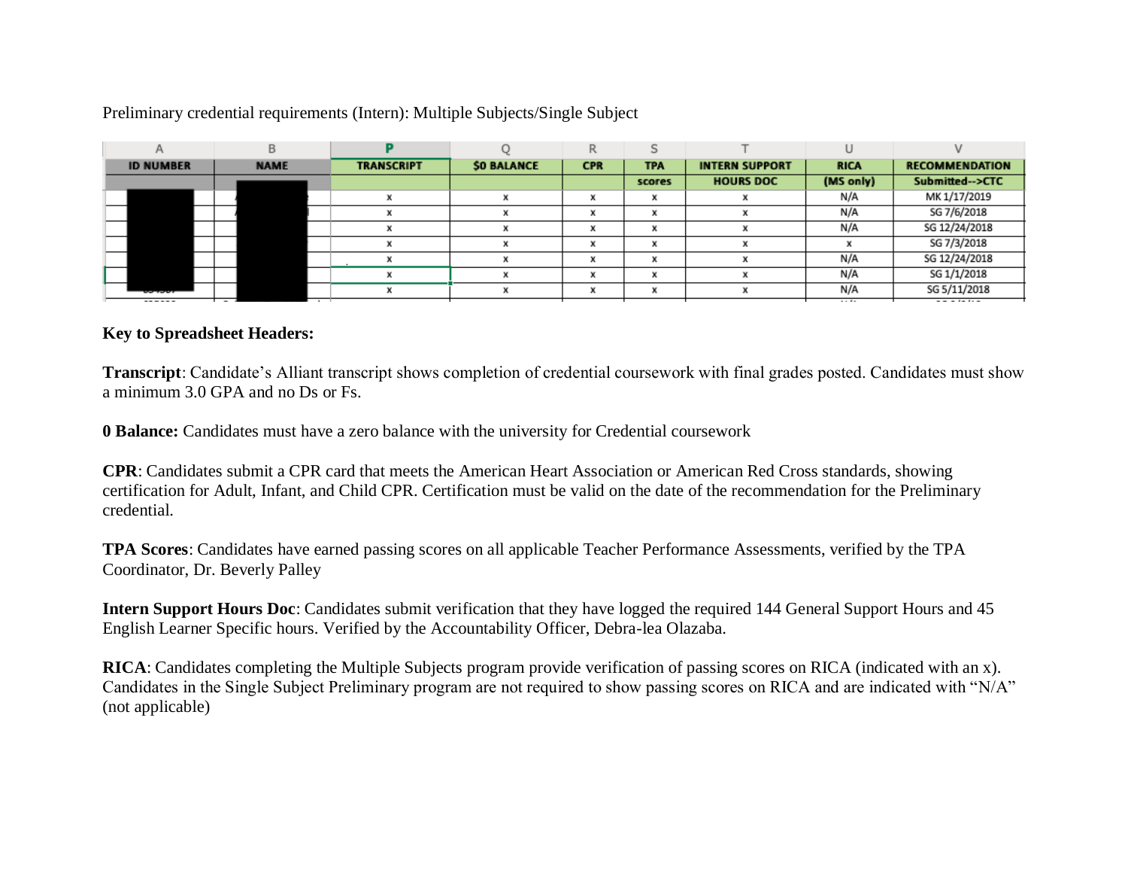## Preliminary credential requirements (Intern): Multiple Subjects/Single Subject

|                  | R           |                   |                    | R            |                         |                       |             |                       |
|------------------|-------------|-------------------|--------------------|--------------|-------------------------|-----------------------|-------------|-----------------------|
| <b>ID NUMBER</b> | <b>NAME</b> | <b>TRANSCRIPT</b> | <b>\$0 BALANCE</b> | <b>CPR</b>   | <b>TPA</b>              | <b>INTERN SUPPORT</b> | <b>RICA</b> | <b>RECOMMENDATION</b> |
|                  |             |                   |                    |              | scores                  | <b>HOURS DOC</b>      | (MS only)   | Submitted-->CTC       |
|                  |             |                   |                    | x            | X                       |                       | N/A         | MK 1/17/2019          |
|                  |             |                   | <b>No</b>          | $\mathbf{v}$ | $\mathbf{v}$            |                       | N/A         | SG 7/6/2018           |
|                  |             |                   |                    |              |                         |                       | N/A         | SG 12/24/2018         |
|                  |             |                   |                    | w            | $\mathbf{u}$            |                       |             | SG 7/3/2018           |
|                  |             |                   |                    |              | $\overline{\mathbf{u}}$ |                       | N/A         | SG 12/24/2018         |
|                  |             |                   | 34                 | $\mathbf{v}$ | $\mathbf{v}$            |                       | N/A         | SG 1/1/2018           |
| -------          |             |                   |                    |              | $\overline{\mathbf{u}}$ |                       | N/A         | SG 5/11/2018          |
| ------           |             |                   |                    |              |                         |                       | and the     |                       |

## **Key to Spreadsheet Headers:**

**Transcript**: Candidate's Alliant transcript shows completion of credential coursework with final grades posted. Candidates must show a minimum 3.0 GPA and no Ds or Fs.

**0 Balance:** Candidates must have a zero balance with the university for Credential coursework

**CPR**: Candidates submit a CPR card that meets the American Heart Association or American Red Cross standards, showing certification for Adult, Infant, and Child CPR. Certification must be valid on the date of the recommendation for the Preliminary credential.

**TPA Scores**: Candidates have earned passing scores on all applicable Teacher Performance Assessments, verified by the TPA Coordinator, Dr. Beverly Palley

**Intern Support Hours Doc**: Candidates submit verification that they have logged the required 144 General Support Hours and 45 English Learner Specific hours. Verified by the Accountability Officer, Debra-lea Olazaba.

**RICA**: Candidates completing the Multiple Subjects program provide verification of passing scores on RICA (indicated with an x). Candidates in the Single Subject Preliminary program are not required to show passing scores on RICA and are indicated with "N/A" (not applicable)